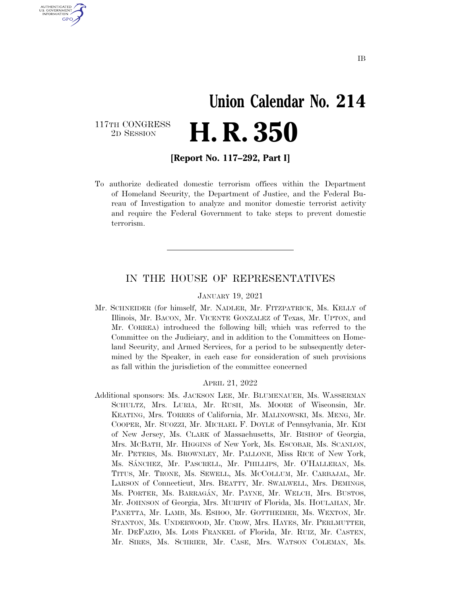## **Union Calendar No. 214 H. R. 350**

117TH CONGRESS<br>2D SESSION

U.S. GOVERNMENT **GPO** 

**[Report No. 117–292, Part I]** 

To authorize dedicated domestic terrorism offices within the Department of Homeland Security, the Department of Justice, and the Federal Bureau of Investigation to analyze and monitor domestic terrorist activity and require the Federal Government to take steps to prevent domestic terrorism.

### IN THE HOUSE OF REPRESENTATIVES

#### JANUARY 19, 2021

Mr. SCHNEIDER (for himself, Mr. NADLER, Mr. FITZPATRICK, Ms. KELLY of Illinois, Mr. BACON, Mr. VICENTE GONZALEZ of Texas, Mr. UPTON, and Mr. CORREA) introduced the following bill; which was referred to the Committee on the Judiciary, and in addition to the Committees on Homeland Security, and Armed Services, for a period to be subsequently determined by the Speaker, in each case for consideration of such provisions as fall within the jurisdiction of the committee concerned

#### APRIL 21, 2022

Additional sponsors: Ms. JACKSON LEE, Mr. BLUMENAUER, Ms. WASSERMAN SCHULTZ, Mrs. LURIA, Mr. RUSH, Ms. MOORE of Wisconsin, Mr. KEATING, Mrs. TORRES of California, Mr. MALINOWSKI, Ms. MENG, Mr. COOPER, Mr. SUOZZI, Mr. MICHAEL F. DOYLE of Pennsylvania, Mr. KIM of New Jersey, Ms. CLARK of Massachusetts, Mr. BISHOP of Georgia, Mrs. MCBATH, Mr. HIGGINS of New York, Ms. ESCOBAR, Ms. SCANLON, Mr. PETERS, Ms. BROWNLEY, Mr. PALLONE, Miss RICE of New York, Ms. SA´NCHEZ, Mr. PASCRELL, Mr. PHILLIPS, Mr. O'HALLERAN, Ms. TITUS, Mr. TRONE, Ms. SEWELL, Ms. MCCOLLUM, Mr. CARBAJAL, Mr. LARSON of Connecticut, Mrs. BEATTY, Mr. SWALWELL, Mrs. DEMINGS, Ms. PORTER, Ms. BARRAGA´N, Mr. PAYNE, Mr. WELCH, Mrs. BUSTOS, Mr. JOHNSON of Georgia, Mrs. MURPHY of Florida, Ms. HOULAHAN, Mr. PANETTA, Mr. LAMB, Ms. ESHOO, Mr. GOTTHEIMER, Ms. WEXTON, Mr. STANTON, Ms. UNDERWOOD, Mr. CROW, Mrs. HAYES, Mr. PERLMUTTER, Mr. DEFAZIO, Ms. LOIS FRANKEL of Florida, Mr. RUIZ, Mr. CASTEN, Mr. SIRES, Ms. SCHRIER, Mr. CASE, Mrs. WATSON COLEMAN, Ms.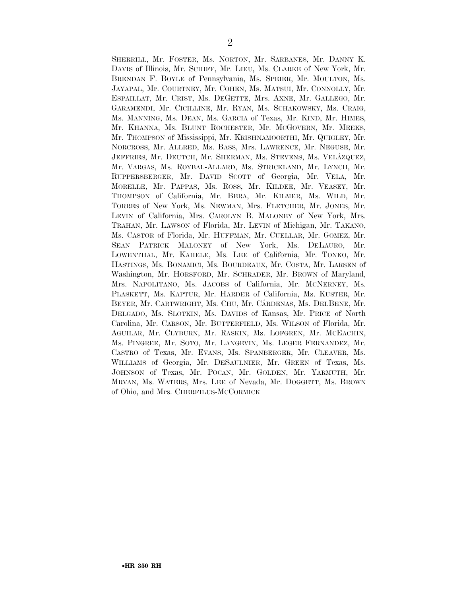SHERRILL, Mr. FOSTER, Ms. NORTON, Mr. SARBANES, Mr. DANNY K. DAVIS of Illinois, Mr. SCHIFF, Mr. LIEU, Ms. CLARKE of New York, Mr. BRENDAN F. BOYLE of Pennsylvania, Ms. SPEIER, Mr. MOULTON, Ms. JAYAPAL, Mr. COURTNEY, Mr. COHEN, Ms. MATSUI, Mr. CONNOLLY, Mr. ESPAILLAT, Mr. CRIST, Ms. DEGETTE, Mrs. AXNE, Mr. GALLEGO, Mr. GARAMENDI, Mr. CICILLINE, Mr. RYAN, Ms. SCHAKOWSKY, Ms. CRAIG, Ms. MANNING, Ms. DEAN, Ms. GARCIA of Texas, Mr. KIND, Mr. HIMES, Mr. KHANNA, Ms. BLUNT ROCHESTER, Mr. MCGOVERN, Mr. MEEKS, Mr. THOMPSON of Mississippi, Mr. KRISHNAMOORTHI, Mr. QUIGLEY, Mr. NORCROSS, Mr. ALLRED, Ms. BASS, Mrs. LAWRENCE, Mr. NEGUSE, Mr. JEFFRIES, Mr. DEUTCH, Mr. SHERMAN, Ms. STEVENS, Ms. VELÁZQUEZ, Mr. VARGAS, Ms. ROYBAL-ALLARD, Ms. STRICKLAND, Mr. LYNCH, Mr. RUPPERSBERGER, Mr. DAVID SCOTT of Georgia, Mr. VELA, Mr. MORELLE, Mr. PAPPAS, Ms. ROSS, Mr. KILDEE, Mr. VEASEY, Mr. THOMPSON of California, Mr. BERA, Mr. KILMER, Ms. WILD, Mr. TORRES of New York, Ms. NEWMAN, Mrs. FLETCHER, Mr. JONES, Mr. LEVIN of California, Mrs. CAROLYN B. MALONEY of New York, Mrs. TRAHAN, Mr. LAWSON of Florida, Mr. LEVIN of Michigan, Mr. TAKANO, Ms. CASTOR of Florida, Mr. HUFFMAN, Mr. CUELLAR, Mr. GOMEZ, Mr. SEAN PATRICK MALONEY of New York, Ms. DELAURO, Mr. LOWENTHAL, Mr. KAHELE, Ms. LEE of California, Mr. TONKO, Mr. HASTINGS, Ms. BONAMICI, Ms. BOURDEAUX, Mr. COSTA, Mr. LARSEN of Washington, Mr. HORSFORD, Mr. SCHRADER, Mr. BROWN of Maryland, Mrs. NAPOLITANO, Ms. JACOBS of California, Mr. MCNERNEY, Ms. PLASKETT, Ms. KAPTUR, Mr. HARDER of California, Ms. KUSTER, Mr. BEYER, Mr. CARTWRIGHT, Ms. CHU, Mr. CÁRDENAS, Ms. DELBENE, Mr. DELGADO, Ms. SLOTKIN, Ms. DAVIDS of Kansas, Mr. PRICE of North Carolina, Mr. CARSON, Mr. BUTTERFIELD, Ms. WILSON of Florida, Mr. AGUILAR, Mr. CLYBURN, Mr. RASKIN, Ms. LOFGREN, Mr. MCEACHIN, Ms. PINGREE, Mr. SOTO, Mr. LANGEVIN, Ms. LEGER FERNANDEZ, Mr. CASTRO of Texas, Mr. EVANS, Ms. SPANBERGER, Mr. CLEAVER, Ms. WILLIAMS of Georgia, Mr. DESAULNIER, Mr. GREEN of Texas, Ms. JOHNSON of Texas, Mr. POCAN, Mr. GOLDEN, Mr. YARMUTH, Mr. MRVAN, Ms. WATERS, Mrs. LEE of Nevada, Mr. DOGGETT, Ms. BROWN of Ohio, and Mrs. CHERFILUS-MCCORMICK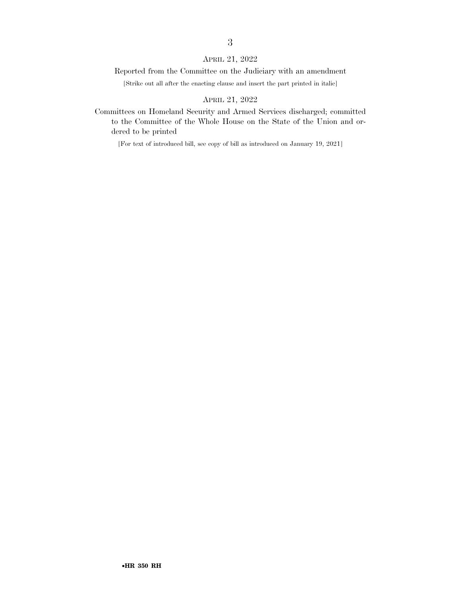### APRIL 21, 2022

#### Reported from the Committee on the Judiciary with an amendment

[Strike out all after the enacting clause and insert the part printed in italic]

### APRIL 21, 2022

Committees on Homeland Security and Armed Services discharged; committed to the Committee of the Whole House on the State of the Union and ordered to be printed

[For text of introduced bill, see copy of bill as introduced on January 19, 2021]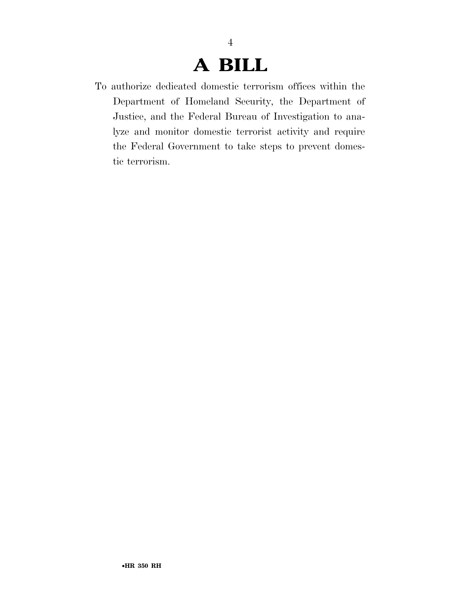### **A BILL**

4

To authorize dedicated domestic terrorism offices within the Department of Homeland Security, the Department of Justice, and the Federal Bureau of Investigation to analyze and monitor domestic terrorist activity and require the Federal Government to take steps to prevent domestic terrorism.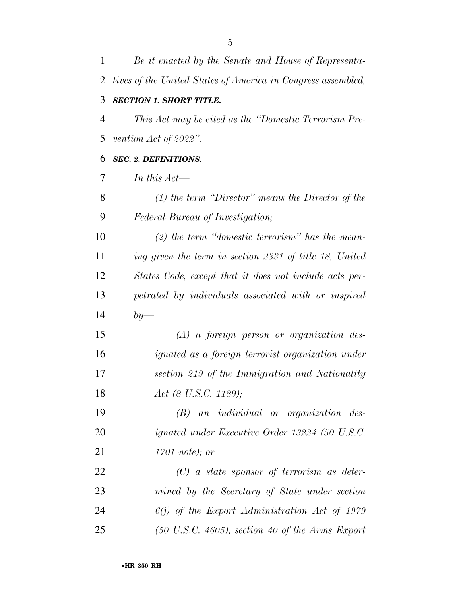| 1              | Be it enacted by the Senate and House of Representa-         |
|----------------|--------------------------------------------------------------|
| 2              | tives of the United States of America in Congress assembled, |
| 3              | <b>SECTION 1. SHORT TITLE.</b>                               |
| $\overline{4}$ | This Act may be cited as the "Domestic Terrorism Pre-        |
| 5              | vention Act of 2022".                                        |
| 6              | <b>SEC. 2. DEFINITIONS.</b>                                  |
| 7              | In this $Act-$                                               |
| 8              | $(1)$ the term "Director" means the Director of the          |
| 9              | Federal Bureau of Investigation;                             |
| 10             | $(2)$ the term "domestic terrorism" has the mean-            |
| 11             | ing given the term in section 2331 of title 18, United       |
| 12             | States Code, except that it does not include acts per-       |
| 13             | petrated by individuals associated with or inspired          |
| 14             | $by-$                                                        |
| 15             | $(A)$ a foreign person or organization des-                  |
| 16             | <i>ignated as a foreign terrorist organization under</i>     |
| 17             | section 219 of the Immigration and Nationality               |
| 18             | Act (8 U.S.C. 1189);                                         |
| 19             | $(B)$ an individual or organization des-                     |
| 20             | ignated under Executive Order 13224 (50 U.S.C.               |
| 21             | $1701$ note); or                                             |
| 22             | $(C)$ a state sponsor of terrorism as deter-                 |
| 23             | mined by the Secretary of State under section                |
| 24             | $6(j)$ of the Export Administration Act of 1979              |
| 25             | $(50 \text{ U.S.C. } 4605)$ , section 40 of the Arms Export  |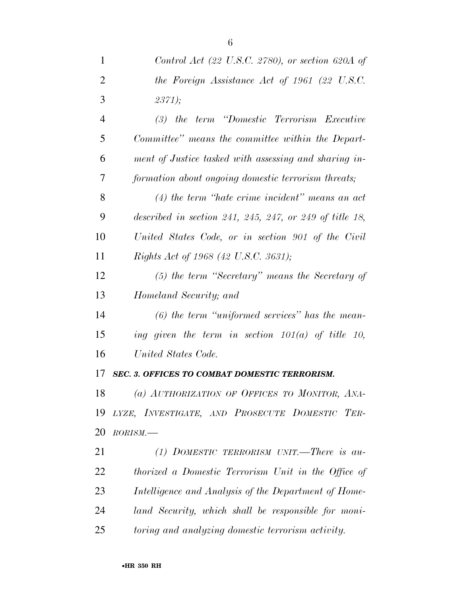| 1              | Control Act (22 U.S.C. 2780), or section 620A of        |
|----------------|---------------------------------------------------------|
| $\overline{2}$ | the Foreign Assistance Act of 1961 (22 U.S.C.           |
| 3              | 2371);                                                  |
| $\overline{4}$ | (3) the term "Domestic Terrorism Executive              |
| 5              | Committee" means the committee within the Depart-       |
| 6              | ment of Justice tasked with assessing and sharing in-   |
| 7              | formation about ongoing domestic terrorism threats;     |
| 8              | $(4)$ the term "hate crime incident" means an act       |
| 9              | described in section 241, 245, 247, or 249 of title 18, |
| 10             | United States Code, or in section 901 of the Civil      |
| 11             | <i>Rights Act of 1968 (42 U.S.C. 3631);</i>             |
| 12             | $(5)$ the term "Secretary" means the Secretary of       |
| 13             | Homeland Security; and                                  |
| 14             | $(6)$ the term "uniformed services" has the mean-       |
| 15             | ing given the term in section $101(a)$ of title 10,     |
| 16             | United States Code.                                     |
| 17             | <b>SEC. 3. OFFICES TO COMBAT DOMESTIC TERRORISM.</b>    |
| 18             | (a) AUTHORIZATION OF OFFICES TO MONITOR, ANA-           |
| 19             | LYZE, INVESTIGATE, AND PROSECUTE DOMESTIC TER-          |
| 20             | $RORISM$ .                                              |
| 21             | (1) DOMESTIC TERRORISM UNIT.—There is au-               |
| 22             | thorized a Domestic Terrorism Unit in the Office of     |
| 23             | Intelligence and Analysis of the Department of Home-    |
| 24             | land Security, which shall be responsible for moni-     |
|                |                                                         |

*toring and analyzing domestic terrorism activity.*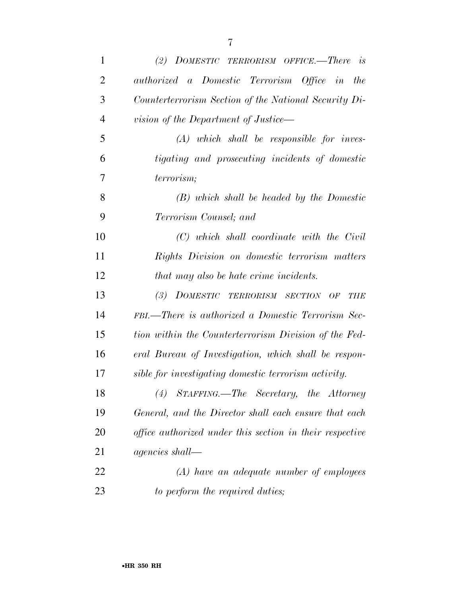| $\mathbf{1}$   | (2) DOMESTIC TERRORISM OFFICE.—There is                  |
|----------------|----------------------------------------------------------|
| $\overline{2}$ | authorized a Domestic Terrorism Office in the            |
| 3              | Counterterrorism Section of the National Security Di-    |
| $\overline{4}$ | vision of the Department of Justice—                     |
| 5              | $(A)$ which shall be responsible for inves-              |
| 6              | tigating and prosecuting incidents of domestic           |
| 7              | terrorism;                                               |
| 8              | $(B)$ which shall be headed by the Domestic              |
| 9              | Terrorism Counsel; and                                   |
| 10             | $(C)$ which shall coordinate with the Civil              |
| 11             | Rights Division on domestic terrorism matters            |
| 12             | that may also be hate crime incidents.                   |
| 13             | (3) DOMESTIC TERRORISM SECTION OF<br><b>THE</b>          |
| 14             | FBI.—There is authorized a Domestic Terrorism Sec-       |
| 15             | tion within the Counterterrorism Division of the Fed-    |
| 16             | eral Bureau of Investigation, which shall be respon-     |
| 17             | sible for investigating domestic terrorism activity.     |
| 18             | (4) STAFFING.—The Secretary, the Attorney                |
| 19             | General, and the Director shall each ensure that each    |
| 20             | office authorized under this section in their respective |
| 21             | <i>agencies</i> shall—                                   |
| 22             | $(A)$ have an adequate number of employees               |
| 23             | to perform the required duties;                          |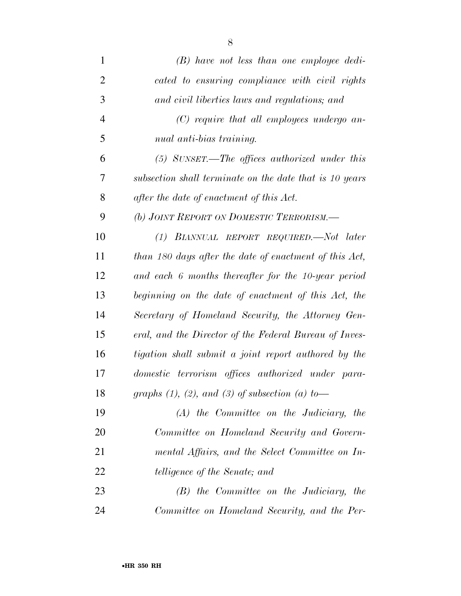| $\mathbf{1}$   | $(B)$ have not less than one employee dedi-              |
|----------------|----------------------------------------------------------|
| $\overline{2}$ | cated to ensuring compliance with civil rights           |
| 3              | and civil liberties laws and regulations; and            |
| $\overline{4}$ | $(C)$ require that all employees undergo an-             |
| 5              | nual anti-bias training.                                 |
| 6              | $(5)$ SUNSET.—The offices authorized under this          |
| 7              | subsection shall terminate on the date that is 10 years  |
| 8              | after the date of enactment of this Act.                 |
| 9              | (b) JOINT REPORT ON DOMESTIC TERRORISM.                  |
| 10             | (1) BIANNUAL REPORT REQUIRED.—Not later                  |
| 11             | than 180 days after the date of enactment of this Act,   |
| 12             | and each 6 months thereafter for the 10-year period      |
| 13             | beginning on the date of enactment of this Act, the      |
| 14             | Secretary of Homeland Security, the Attorney Gen-        |
| 15             | eral, and the Director of the Federal Bureau of Inves-   |
| 16             | tigation shall submit a joint report authored by the     |
| 17             | domestic terrorism offices authorized under para-        |
| 18             | graphs $(1)$ , $(2)$ , and $(3)$ of subsection $(a)$ to- |
| 19             | $(A)$ the Committee on the Judiciary, the                |
| 20             | Committee on Homeland Security and Govern-               |
| 21             | mental Affairs, and the Select Committee on In-          |
| 22             | <i>telligence of the Senate; and</i>                     |
| 23             | $(B)$ the Committee on the Judiciary, the                |
| 24             | Committee on Homeland Security, and the Per-             |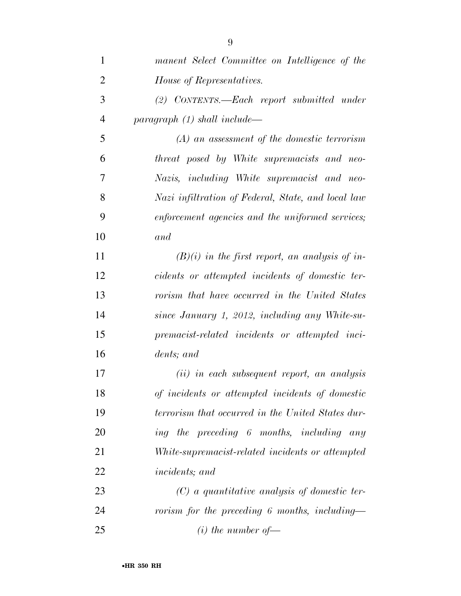| $\mathbf{1}$   | manent Select Committee on Intelligence of the     |
|----------------|----------------------------------------------------|
| $\overline{2}$ | House of Representatives.                          |
| 3              | (2) CONTENTS.—Each report submitted under          |
| $\overline{4}$ | paragnph (1) shall include—                        |
| 5              | $(A)$ an assessment of the domestic terrorism      |
| 6              | threat posed by White supremacists and neo-        |
| 7              | Nazis, including White supremacist and neo-        |
| 8              | Nazi infiltration of Federal, State, and local law |
| 9              | enforcement agencies and the uniformed services;   |
| 10             | and                                                |
| 11             | $(B)(i)$ in the first report, an analysis of in-   |
| 12             | cidents or attempted incidents of domestic ter-    |
| 13             | rorism that have occurred in the United States     |
| 14             | since January 1, 2012, including any White-su-     |
| 15             | premacist-related incidents or attempted inci-     |
| 16             | dents; and                                         |
| 17             | $(ii)$ in each subsequent report, an analysis      |
| 18             | of incidents or attempted incidents of domestic    |
| 19             | terrorism that occurred in the United States dur-  |
| 20             | ing the preceding 6 months, including any          |
| 21             | White-supremacist-related incidents or attempted   |
| 22             | <i>incidents</i> ; and                             |
| 23             | $(C)$ a quantitative analysis of domestic ter-     |
| 24             | rorism for the preceding 6 months, including—      |
| 25             | $(i)$ the number of —                              |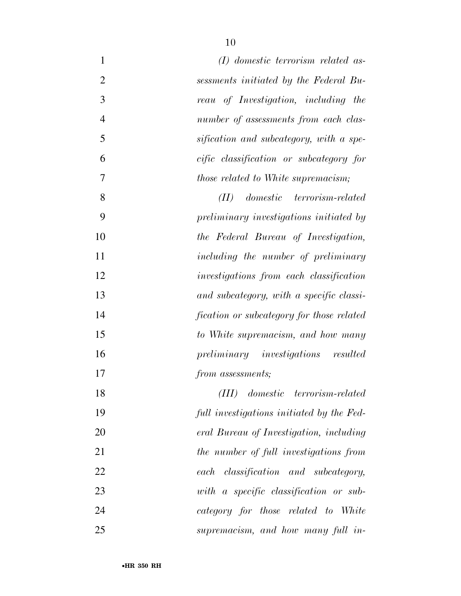| $(I)$ domestic terrorism related as-       | $\mathbf{1}$   |
|--------------------------------------------|----------------|
| sessments initiated by the Federal Bu-     | $\overline{2}$ |
| reau of Investigation, including the       | 3              |
| number of assessments from each clas-      | $\overline{4}$ |
| sification and subcategory, with a spe-    | 5              |
| cific classification or subcategory for    | 6              |
| <i>those related to White supremacism;</i> | 7              |
| domestic terrorism-related<br>(II)         | 8              |
| preliminary investigations initiated by    | 9              |
| the Federal Bureau of Investigation,       | 10             |
| including the number of preliminary        | 11             |
| investigations from each classification    | 12             |
| and subcategory, with a specific classi-   | 13             |
| fication or subcategory for those related  | 14             |
| to White supremacism, and how many         | 15             |
| preliminary investigations resulted        | 16             |
| from assessments;                          | 17             |
| domestic terrorism-related<br>(III)        | 18             |
| full investigations initiated by the Fed-  | 19             |
| eral Bureau of Investigation, including    | 20             |
| the number of full investigations from     | 21             |
| classification and subcategory,<br>each    | 22             |
| with a specific classification or sub-     | 23             |
| category for those related to White        | 24             |
| supremacism, and how many full in-         | 25             |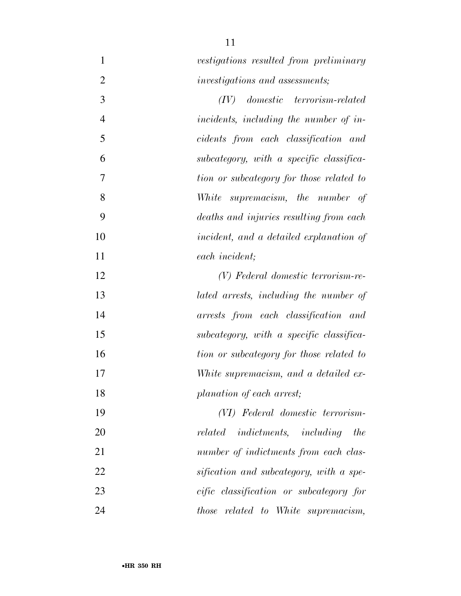| $\mathbf{1}$   | vestigations resulted from preliminary          |
|----------------|-------------------------------------------------|
| $\overline{2}$ | investigations and assessments;                 |
| 3              | $domestic \quad terrorism-related$<br>(IV)      |
| $\overline{4}$ | incidents, including the number of in-          |
| 5              | cidents from each classification and            |
| 6              | subcategory, with a specific classifica-        |
| 7              | tion or subcategory for those related to        |
| 8              | supremacism, the number of<br>White             |
| 9              | deaths and injuries resulting from each         |
| 10             | incident, and a detailed explanation of         |
| 11             | each incident;                                  |
| 12             | (V) Federal domestic terrorism-re-              |
| 13             | lated arrests, including the number of          |
| 14             | arrests from each classification and            |
| 15             | subcategory, with a specific classifica-        |
| 16             | tion or subcategory for those related to        |
| 17             | White supremacism, and a detailed ex-           |
| 18             | planation of each arrest;                       |
| 19             | (VI) Federal domestic terrorism-                |
| 20             | related<br><i>indictments, including</i><br>the |
| 21             | number of indictments from each clas-           |
| 22             | sification and subcategory, with a spe-         |
| 23             | cific classification or subcategory for         |
| 24             | <i>those related to White supremacism,</i>      |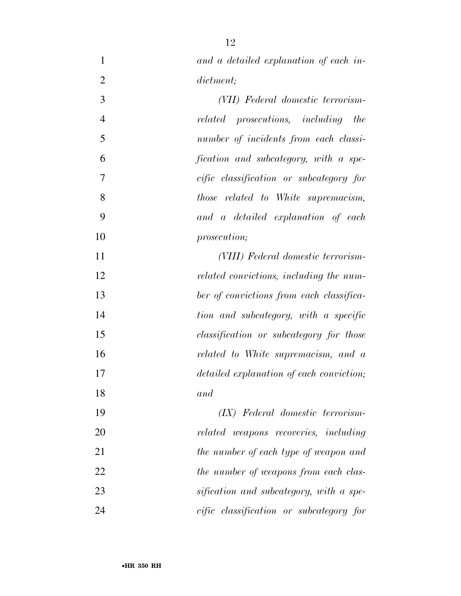| $\mathbf{1}$   | and a detailed explanation of each in-     |
|----------------|--------------------------------------------|
| $\overline{2}$ | dictment;                                  |
| 3              | (VII) Federal domestic terrorism-          |
| $\overline{4}$ | related prosecutions, including the        |
| 5              | number of incidents from each classi-      |
| 6              | fication and subcategory, with a spe-      |
| 7              | cific classification or subcategory for    |
| 8              | <i>those related to White supremacism,</i> |
| 9              | and a detailed explanation of each         |
| 10             | prosecution;                               |
| 11             | (VIII) Federal domestic terrorism-         |
| 12             | related convictions, including the num-    |
| 13             | ber of convictions from each classifica-   |
| 14             | tion and subcategory, with a specific      |
| 15             | classification or subcategory for those    |
| 16             | related to White supremacism, and a        |
| 17             | detailed explanation of each conviction;   |
| 18             | and                                        |
| 19             | (IX) Federal domestic terrorism-           |
| 20             | related weapons recoveries, including      |
| 21             | the number of each type of weapon and      |
| 22             | the number of weapons from each clas-      |
| 23             | sification and subcategory, with a spe-    |
| 24             | cific classification or subcategory for    |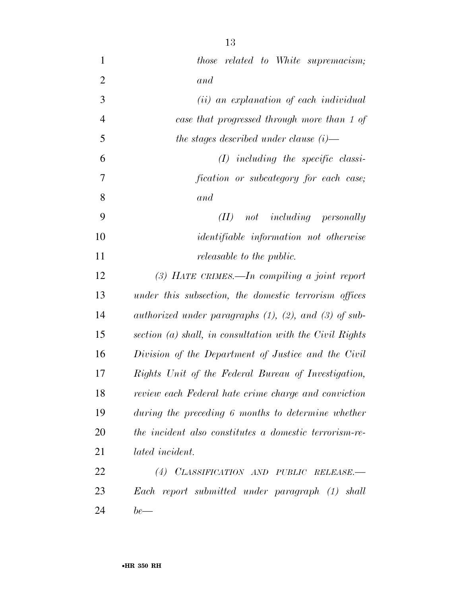| $\mathbf{1}$   | <i>those related to White supremacism;</i>                    |
|----------------|---------------------------------------------------------------|
| $\overline{2}$ | and                                                           |
| 3              | (ii) an explanation of each individual                        |
| $\overline{4}$ | case that progressed through more than 1 of                   |
| 5              | the stages described under clause $(i)$ —                     |
| 6              | $(I)$ including the specific classi-                          |
| 7              | fication or subcategory for each case;                        |
| 8              | and                                                           |
| 9              | not including personally<br>(II)                              |
| 10             | <i>identifiable information not otherwise</i>                 |
| 11             | <i>releasable to the public.</i>                              |
| 12             | $(3)$ HATE CRIMES.—In compiling a joint report                |
| 13             | under this subsection, the domestic terrorism offices         |
| 14             | authorized under paragraphs $(1)$ , $(2)$ , and $(3)$ of sub- |
| 15             | section $(a)$ shall, in consultation with the Civil Rights    |
| 16             | Division of the Department of Justice and the Civil           |
| 17             | Rights Unit of the Federal Bureau of Investigation,           |
| 18             | review each Federal hate crime charge and conviction          |
| 19             | during the preceding 6 months to determine whether            |
| 20             | the incident also constitutes a domestic terrorism-re-        |
| 21             | <i>lated incident.</i>                                        |
| 22             | (4) CLASSIFICATION AND PUBLIC RELEASE.-                       |
| 23             | Each report submitted under paragraph (1) shall               |
| 24             | $be$ —                                                        |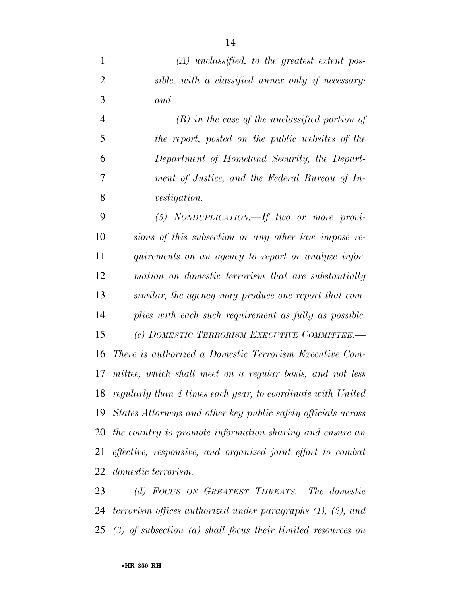*(A) unclassified, to the greatest extent pos- sible, with a classified annex only if necessary; and* 

 *(B) in the case of the unclassified portion of the report, posted on the public websites of the Department of Homeland Security, the Depart- ment of Justice, and the Federal Bureau of In-vestigation.* 

 *(5) NONDUPLICATION.—If two or more provi- sions of this subsection or any other law impose re- quirements on an agency to report or analyze infor- mation on domestic terrorism that are substantially similar, the agency may produce one report that com- plies with each such requirement as fully as possible. (c) DOMESTIC TERRORISM EXECUTIVE COMMITTEE.— There is authorized a Domestic Terrorism Executive Com- mittee, which shall meet on a regular basis, and not less regularly than 4 times each year, to coordinate with United States Attorneys and other key public safety officials across the country to promote information sharing and ensure an effective, responsive, and organized joint effort to combat domestic terrorism.* 

 *(d) FOCUS ON GREATEST THREATS.—The domestic terrorism offices authorized under paragraphs (1), (2), and (3) of subsection (a) shall focus their limited resources on* 

•**HR 350 RH**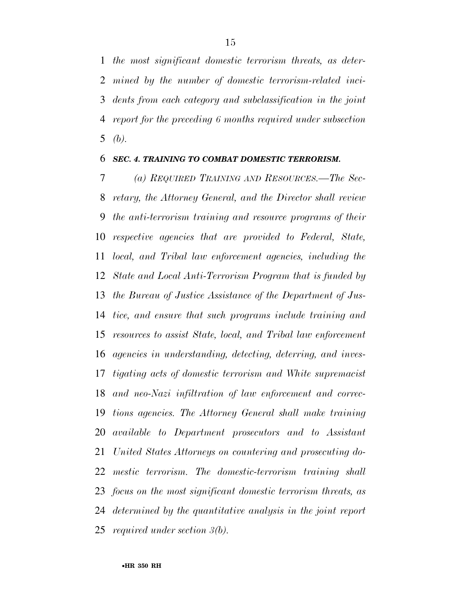*the most significant domestic terrorism threats, as deter- mined by the number of domestic terrorism-related inci- dents from each category and subclassification in the joint report for the preceding 6 months required under subsection (b).* 

### *SEC. 4. TRAINING TO COMBAT DOMESTIC TERRORISM.*

 *(a) REQUIRED TRAINING AND RESOURCES.—The Sec- retary, the Attorney General, and the Director shall review the anti-terrorism training and resource programs of their respective agencies that are provided to Federal, State, local, and Tribal law enforcement agencies, including the State and Local Anti-Terrorism Program that is funded by the Bureau of Justice Assistance of the Department of Jus- tice, and ensure that such programs include training and resources to assist State, local, and Tribal law enforcement agencies in understanding, detecting, deterring, and inves- tigating acts of domestic terrorism and White supremacist and neo-Nazi infiltration of law enforcement and correc- tions agencies. The Attorney General shall make training available to Department prosecutors and to Assistant United States Attorneys on countering and prosecuting do- mestic terrorism. The domestic-terrorism training shall focus on the most significant domestic terrorism threats, as determined by the quantitative analysis in the joint report required under section 3(b).*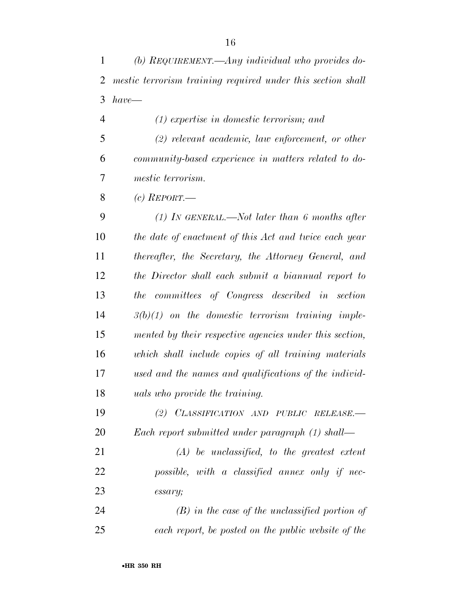*(b) REQUIREMENT.—Any individual who provides do- mestic terrorism training required under this section shall have—* 

 *(1) expertise in domestic terrorism; and (2) relevant academic, law enforcement, or other community-based experience in matters related to do-mestic terrorism.* 

*(c) REPORT.—* 

 *(1) IN GENERAL.—Not later than 6 months after the date of enactment of this Act and twice each year thereafter, the Secretary, the Attorney General, and the Director shall each submit a biannual report to the committees of Congress described in section 3(b)(1) on the domestic terrorism training imple- mented by their respective agencies under this section, which shall include copies of all training materials used and the names and qualifications of the individ-uals who provide the training.* 

 *(2) CLASSIFICATION AND PUBLIC RELEASE.— Each report submitted under paragraph (1) shall—* 

 *(A) be unclassified, to the greatest extent possible, with a classified annex only if nec-essary;* 

 *(B) in the case of the unclassified portion of each report, be posted on the public website of the*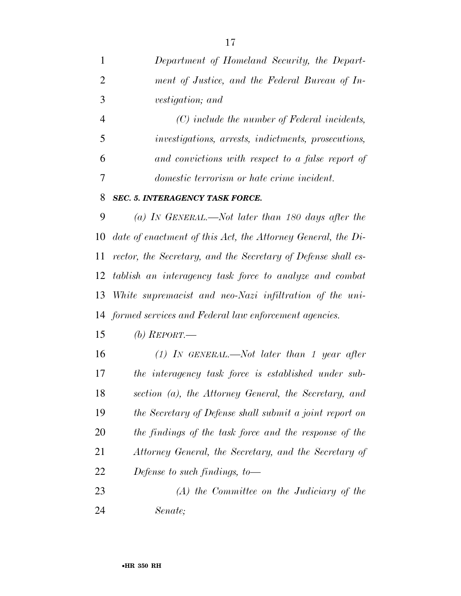*Department of Homeland Security, the Depart- ment of Justice, and the Federal Bureau of In-vestigation; and* 

 *(C) include the number of Federal incidents, investigations, arrests, indictments, prosecutions, and convictions with respect to a false report of domestic terrorism or hate crime incident.* 

### *SEC. 5. INTERAGENCY TASK FORCE.*

 *(a) IN GENERAL.—Not later than 180 days after the date of enactment of this Act, the Attorney General, the Di- rector, the Secretary, and the Secretary of Defense shall es- tablish an interagency task force to analyze and combat White supremacist and neo-Nazi infiltration of the uni-formed services and Federal law enforcement agencies.* 

*(b) REPORT.—* 

- *(1) IN GENERAL.—Not later than 1 year after the interagency task force is established under sub- section (a), the Attorney General, the Secretary, and the Secretary of Defense shall submit a joint report on the findings of the task force and the response of the Attorney General, the Secretary, and the Secretary of Defense to such findings, to—*
- *(A) the Committee on the Judiciary of the Senate;*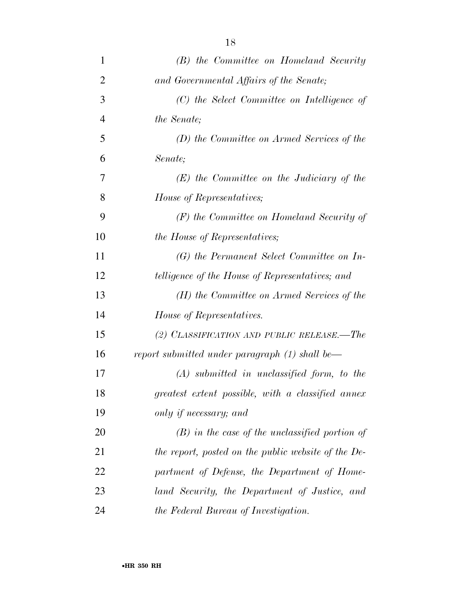| 1              | (B) the Committee on Homeland Security              |
|----------------|-----------------------------------------------------|
| $\overline{2}$ | and Governmental Affairs of the Senate;             |
| 3              | (C) the Select Committee on Intelligence of         |
| $\overline{4}$ | the Senate;                                         |
| 5              | (D) the Committee on Armed Services of the          |
| 6              | Senate;                                             |
| 7              | $(E)$ the Committee on the Judiciary of the         |
| 8              | House of Representatives;                           |
| 9              | $(F)$ the Committee on Homeland Security of         |
| 10             | <i>the House of Representatives;</i>                |
| 11             | $(G)$ the Permanent Select Committee on In-         |
| 12             | telligence of the House of Representatives; and     |
| 13             | (H) the Committee on Armed Services of the          |
| 14             | House of Representatives.                           |
| 15             | (2) CLASSIFICATION AND PUBLIC RELEASE.—The          |
| 16             | report submitted under paragraph (1) shall be—      |
| 17             | $(A)$ submitted in unclassified form, to the        |
| 18             | greatest extent possible, with a classified annex   |
| 19             | only if necessary; and                              |
| 20             | $(B)$ in the case of the unclassified portion of    |
| 21             | the report, posted on the public website of the De- |
| 22             | partment of Defense, the Department of Home-        |
| 23             | land Security, the Department of Justice, and       |
| 24             | the Federal Bureau of Investigation.                |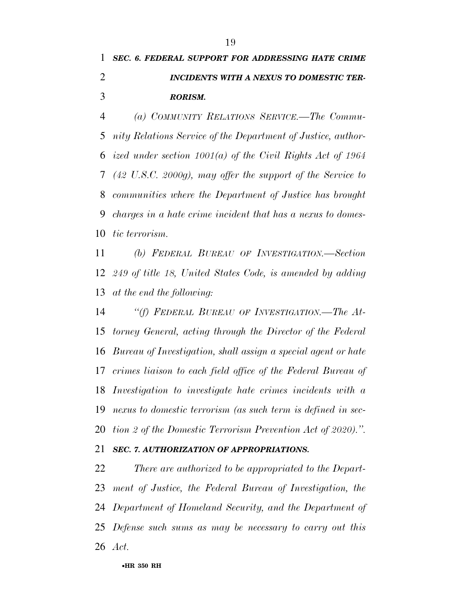### *SEC. 6. FEDERAL SUPPORT FOR ADDRESSING HATE CRIME INCIDENTS WITH A NEXUS TO DOMESTIC TER-RORISM.*

 *(a) COMMUNITY RELATIONS SERVICE.—The Commu- nity Relations Service of the Department of Justice, author- ized under section 1001(a) of the Civil Rights Act of 1964 (42 U.S.C. 2000g), may offer the support of the Service to communities where the Department of Justice has brought charges in a hate crime incident that has a nexus to domes-tic terrorism.* 

 *(b) FEDERAL BUREAU OF INVESTIGATION.—Section 249 of title 18, United States Code, is amended by adding at the end the following:* 

 *''(f) FEDERAL BUREAU OF INVESTIGATION.—The At- torney General, acting through the Director of the Federal Bureau of Investigation, shall assign a special agent or hate crimes liaison to each field office of the Federal Bureau of Investigation to investigate hate crimes incidents with a nexus to domestic terrorism (as such term is defined in sec-tion 2 of the Domestic Terrorism Prevention Act of 2020).''.* 

### *SEC. 7. AUTHORIZATION OF APPROPRIATIONS.*

 *There are authorized to be appropriated to the Depart- ment of Justice, the Federal Bureau of Investigation, the Department of Homeland Security, and the Department of Defense such sums as may be necessary to carry out this Act.*